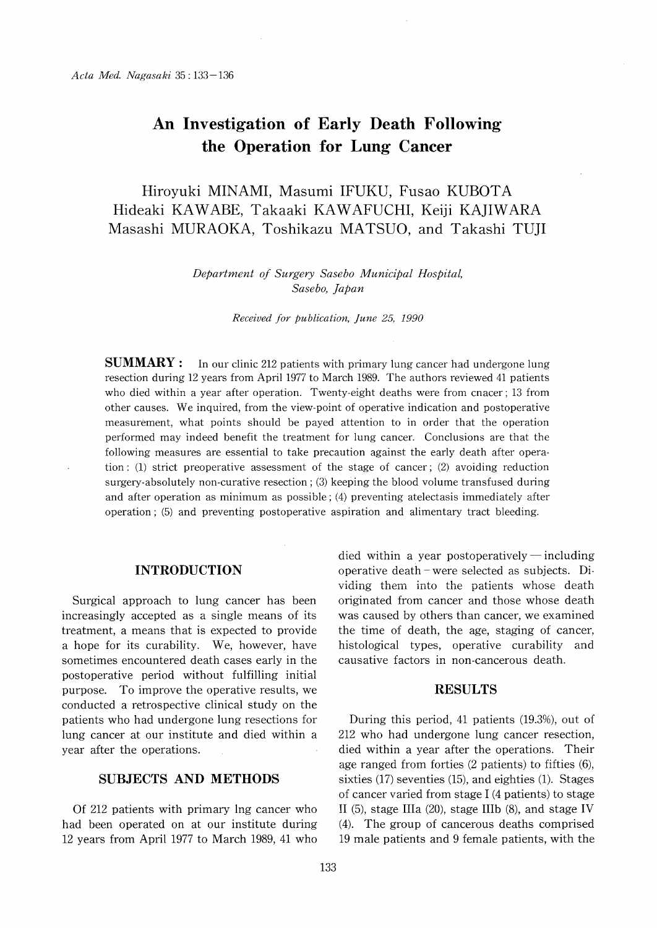# An Investigation of Early Death Following the Operation for Lung Cancer

 Hiroyuki MINAMI, Masumi IFUKU, Fusao KUBOTA Hideaki KAWABE, Takaaki KAWAFUCHI, Keiji KAJIWARA Masashi MURAOKA, Toshikazu MATSUO, and Takashi TUJI

> Department of Surgery Sasebo Municipal Hospital, Sasebo, Japan

> > Received for publication, June 25, 1990

**SUMMARY** : In our clinic 212 patients with primary lung cancer had undergone lung resection during 12 years from April 1977 to March 1989. The authors reviewed 41 patients who died within a year after operation. Twenty-eight deaths were from cnacer ; 13 from other causes. We inquired, from the view-point of operative indication and postoperative measurement, what points should be payed attention to in order that the operation performed may indeed benefit the treatment for lung cancer. Conclusions are that the following measures are essential to take precaution against the early death after operation : (1) strict preoperative assessment of the stage of cancer ; (2) avoiding reduction surgery-absolutely non-curative resection ; (3) keeping the blood volume transfused during and after operation as minimum as possible ; (4) preventing atelectasis immediately after operation ; (5) and preventing postoperative aspiration and alimentary tract bleeding.

#### INTRODUCTION

Surgical approach to lung cancer has been increasingly accepted as a single means of its treatment, a means that is expected to provide a hope for its curability. We, however, have sometimes encountered death cases early in the postoperative period without fulfilling initial purpose. To improve the operative results, we conducted a retrospective clinical study on the patients who had undergone lung resections for lung cancer at our institute and died within a year after the operations.

## SUBJECTS AND METHODS

Of 212 patients with primary ing cancer who had been operated on at our institute during 12 years from April 1977 to March 1989, 41 who died within a year postoperatively  $-$  including operative death -were selected as subjects. Dividing them into the patients whose death originated from cancer and those whose death was caused by others than cancer, we examined the time of death, the age, staging of cancer, histological types, operative curability and causative factors in non-cancerous death.

#### RESULTS

During this period, 41 patients (19.3%), out of 212 who had undergone lung cancer resection, died within a year after the operations. Their age ranged from forties (2 patients) to fifties (6), sixties (17) seventies (15), and eighties (1). Stages of cancer varied from stage I (4 patients) to stage II (5), stage IIIa (20), stage IIIb (8), and stage IV (4). The group of cancerous deaths comprised 19 male patients and 9 female patients, with the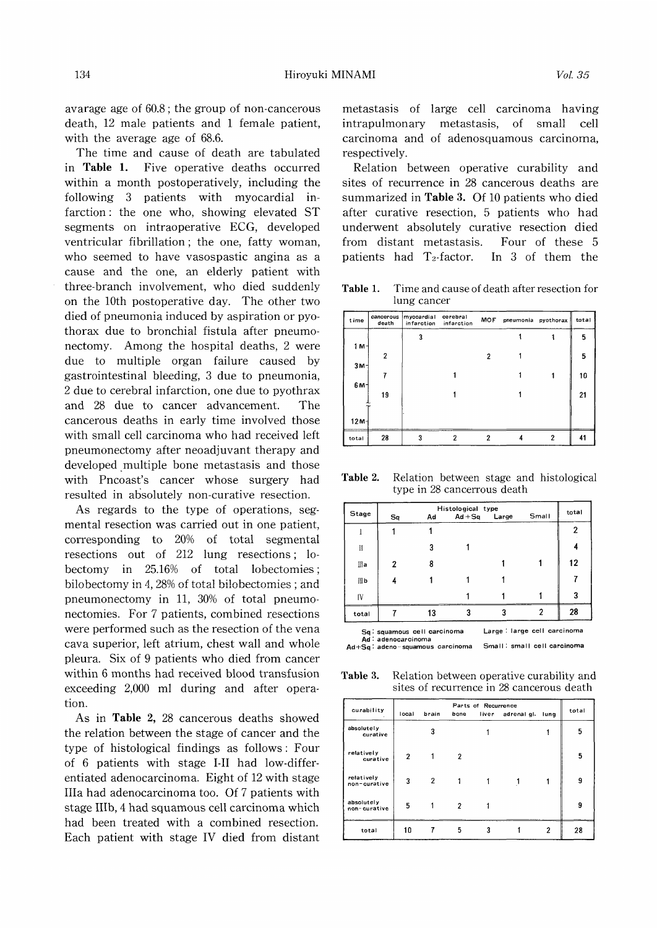avarage age of 60.8; the group of non-cancerous death, 12 male patients and 1 female patient, with the average age of 68.6.

The time and cause of death are tabulated in Table 1. Five operative deaths occurred within a month postoperatively, including the following 3 patients with myocardial infarction : the one who, showing elevated ST segments on intraoperative ECG, developed ventricular fibrillation ; the one, fatty woman, who seemed to have vasospastic angina as a cause and the one, an elderly patient with three-branch involvement, who died suddenly on the 10th postoperative day. The other two died of pneumonia induced by aspiration or pyothorax due to bronchial fistula after pneumonectomy. Among the hospital deaths, 2 were due to multiple organ failure caused by gastrointestinal bleeding, 3 due to pneumonia, 2 due to cerebral infarction, one due to pyothrax and 28 due to cancer advancement. The cancerous deaths in early time involved those with small cell carcinoma who had received left pneumonectomy after neoadjuvant therapy and developed multiple bone metastasis and those with Pncoast's cancer whose surgery had resulted in absolutely non-curative resection.

As regards to the type of operations, segmental resection was carried out in one patient, corresponding to 20% of total segmental resections out of 212 lung resections ; lobectomy in 25.16% of total lobectomies ; bilobectomy in 4,28% of total bilobectomies ; and pneumonectomy in 11, 30% of total pneumonectomies. For 7 patients, combined resections were performed such as the resection of the vena cava superior, left atrium, chest wall and whole pleura. Six of 9 patients who died from cancer within 6 months had received blood transfusion exceeding 2,000 ml during and after operation.

As in Table 2, 28 cancerous deaths showed the relation between the stage of cancer and the type of histological findings as follows : Four of 6 patients with stage I-II had low-differentiated adenocarcinoma. Eight of 12 with stage IIIa had adenocarcinoma too. Of 7 patients with stage IIIb, 4 had squamous cell carcinoma which had been treated with a combined resection. Each patient with stage IV died from distant metastasis of large cell carcinoma having intrapulmonary metastasis, of small cell carcinoma and of adenosquamous carcinoma, respectively.

Relation between operative curability and sites of recurrence in 28 cancerous deaths are summarized in Table 3. Of 10 patients who died after curative resection, 5 patients who had underwent absolutely curative resection died from distant metastasis. Four of these 5 patients had  $T_2$ -factor. In 3 of them the

Table 1. Time and cause of death after resection for lung cancer

| time            | cancerous<br>death | myocardial<br>infarction | cerebral<br>infarction | MOF            | pneumonia pyothorax |   | total |
|-----------------|--------------------|--------------------------|------------------------|----------------|---------------------|---|-------|
|                 |                    | 3                        |                        |                |                     |   | 5     |
| $1 M -$         |                    |                          |                        |                |                     |   |       |
| 3M <sub>1</sub> | $\overline{2}$     |                          |                        | 2              |                     |   | 5     |
|                 |                    |                          |                        |                |                     |   | 10    |
| 6M <sub>1</sub> |                    |                          |                        |                |                     |   |       |
|                 | 19                 |                          |                        |                |                     |   | 21    |
|                 |                    |                          |                        |                |                     |   |       |
| $12M -$         |                    |                          |                        |                |                     |   |       |
| total           | 28                 | 3                        | 2                      | $\overline{2}$ |                     | 2 | 41    |

Table 2. Relation between stage and histological type in 28 cancerrous death

| <b>Stage</b> | Histological type<br>Small<br>$Ad + Sq$<br>Large<br>Sq<br>Ad |    |   |                                                                                                                 |  |    |  |
|--------------|--------------------------------------------------------------|----|---|-----------------------------------------------------------------------------------------------------------------|--|----|--|
|              |                                                              |    |   |                                                                                                                 |  | 2  |  |
| И            |                                                              | 3  |   |                                                                                                                 |  |    |  |
| Шa           | 2                                                            | 8  |   |                                                                                                                 |  | 12 |  |
| III b        |                                                              |    |   |                                                                                                                 |  |    |  |
| IV           |                                                              |    |   |                                                                                                                 |  | 3  |  |
| total        |                                                              | 13 | 3 | 3                                                                                                               |  | 28 |  |
|              |                                                              |    |   | the contract of the contract of the contract of the contract of the contract of the contract of the contract of |  |    |  |

Sq: squamous cell carcinoma Large : large cell carcinoma

Ad : adenocarcinoma Ad+Sq: adeno-squamous carcinoma Small: small cell carcinoma

Table 3. Relation between operative curability and sites of recurrence in 28 cancerous death

| curability                 | local | brain | bone | Parts of Recurrence | liver adrenal gl. | lung | total |
|----------------------------|-------|-------|------|---------------------|-------------------|------|-------|
| absolutely<br>curative     |       | 3     |      |                     |                   |      | 5     |
| relatively<br>curative     | 2     |       | 2    |                     |                   |      | 5     |
| relatively<br>non-curative | 3     | 2     |      |                     |                   |      | 9     |
| absolutely<br>non-curative | 5     |       | 2    |                     |                   |      | 9     |
| total                      | 10    |       | 5    | 3                   |                   | 2    | 28    |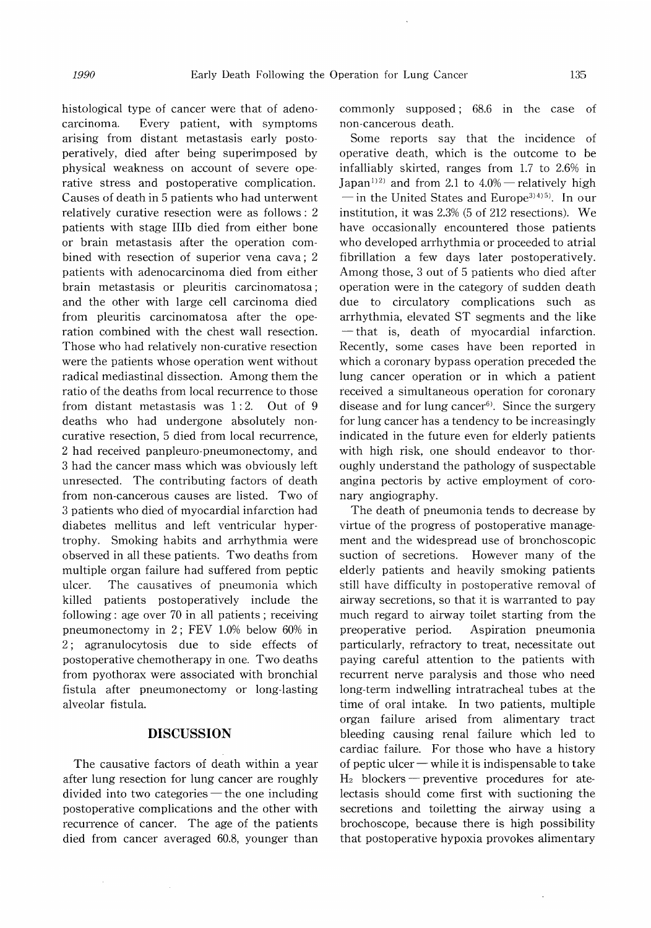histological type of cancer were that of adenocarcinoma. Every patient, with symptoms arising from distant metastasis early postoperatively, died after being superimposed by physical weakness on account of severe operative stress and postoperative complication. Causes of death in 5 patients who had unterwent relatively curative resection were as follows : 2 patients with stage IIIb died from either bone or brain metastasis after the operation combined with resection of superior vena cava ; 2 patients with adenocarcinoma died from either brain metastasis or pleuritis carcinomatosa ; and the other with large cell carcinoma died from pleuritis carcinomatosa after the operation combined with the chest wall resection. Those who had relatively non-curative resection were the patients whose operation went without radical mediastinal dissection. Among them the ratio of the deaths from local recurrence to those from distant metastasis was 1: 2. Out of 9 deaths who had undergone absolutely noncurative resection, 5 died from local recurrence, 2 had received panpleuro-pneumonectomy, and 3 had the cancer mass which was obviously left unresected. The contributing factors of death from non-cancerous causes are listed. Two of 3 patients who died of myocardial infarction had diabetes mellitus and left ventricular hypertrophy. Smoking habits and arrhythmia were observed in all these patients. Two deaths from multiple organ failure had suffered from peptic ulcer. The causatives of pneumonia which killed patients postoperatively include the following : age over 70 in all patients ; receiving pneumonectomy in 2; FEV 1.0% below 60% in 2; agranulocytosis due to side effects of postoperative chemotherapy in one. Two deaths from pyothorax were associated with bronchial fistula after pneumonectomy or long-lasting alveolar fistula.

### DISCUSSION

The causative factors of death within a year after lung resection for lung cancer are roughly divided into two categories  $-$  the one including postoperative complications and the other with recurrence of cancer. The age of the patients died from cancer averaged 60.8, younger than

commonly supposed ; 68.6 in the case of non-cancerous death.

Some reports say that the incidence of operative death, which is the outcome to be infalliably skirted, ranges from 1.7 to 2.6% in Japan<sup>112</sup> and from 2.1 to  $4.0\%$  -relatively high  $\overline{\phantom{a}}$  in the United States and Europe<sup>3)4)5)</sup>. In our institution, it was 2.3% (5 of 212 resections). We have occasionally encountered those patients who developed arrhythmia or proceeded to atrial fibrillation a few days later postoperatively. Among those, 3 out of 5 patients who died after operation were in the category of sudden death due to circulatory complications such as arrhythmia, elevated ST segments and the like - that is, death of myocardial infarction Recently, some cases have been reported in which a coronary bypass operation preceded the lung cancer operation or in which a patient received a simultaneous operation for coronary disease and for lung cancer $6$ . Since the surgery for lung cancer has a tendency to be increasingly indicated in the future even for elderly patients with high risk, one should endeavor to thoroughly understand the pathology of suspectable angina pectoris by active employment of coronary angiography.

The death of pneumonia tends to decrease by virtue of the progress of postoperative management and the widespread use of bronchoscopic suction of secretions. However many of the elderly patients and heavily smoking patients still have difficulty in postoperative removal of airway secretions, so that it is warranted to pay much regard to airway toilet starting from the preoperative period. Aspiration pneumonia particularly, refractory to treat, necessitate out paying careful attention to the patients with recurrent nerve paralysis and those who need long-term indwelling intratracheal tubes at the time of oral intake. In two patients, multiple organ failure arised from alimentary tract bleeding causing renal failure which led to cardiac failure. For those who have a history of peptic ulcer  $-\omega$  while it is indispensable to take  $H_2$  blockers — preventive procedures for atelectasis should come first with suctioning the secretions and toiletting the airway using a brochoscope, because there is high possibility that postoperative hypoxia provokes alimentary